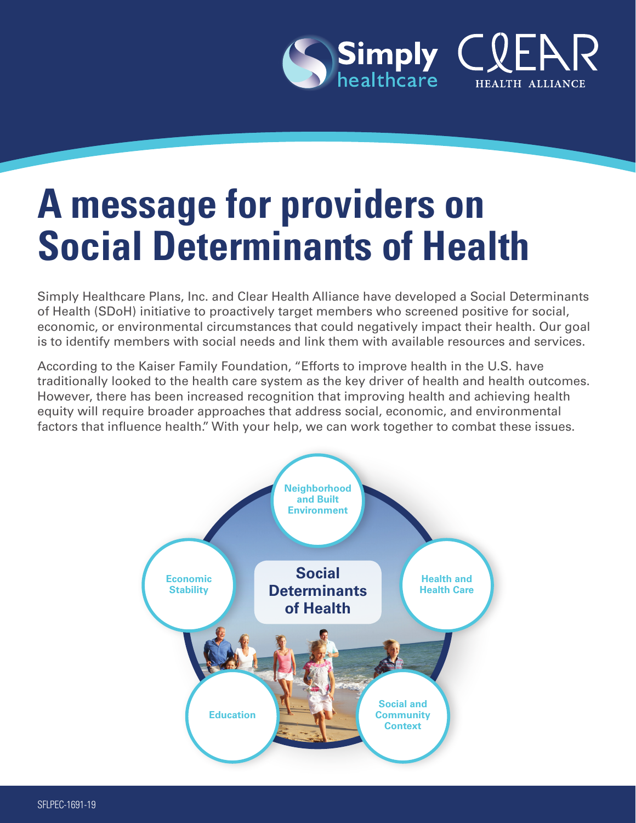

# **A message for providers on Social Determinants of Health**

Simply Healthcare Plans, Inc. and Clear Health Alliance have developed a Social Determinants of Health (SDoH) initiative to proactively target members who screened positive for social, economic, or environmental circumstances that could negatively impact their health. Our goal is to identify members with social needs and link them with available resources and services.

According to the Kaiser Family Foundation, "Efforts to improve health in the U.S. have traditionally looked to the health care system as the key driver of health and health outcomes. However, there has been increased recognition that improving health and achieving health equity will require broader approaches that address social, economic, and environmental factors that influence health." With your help, we can work together to combat these issues.

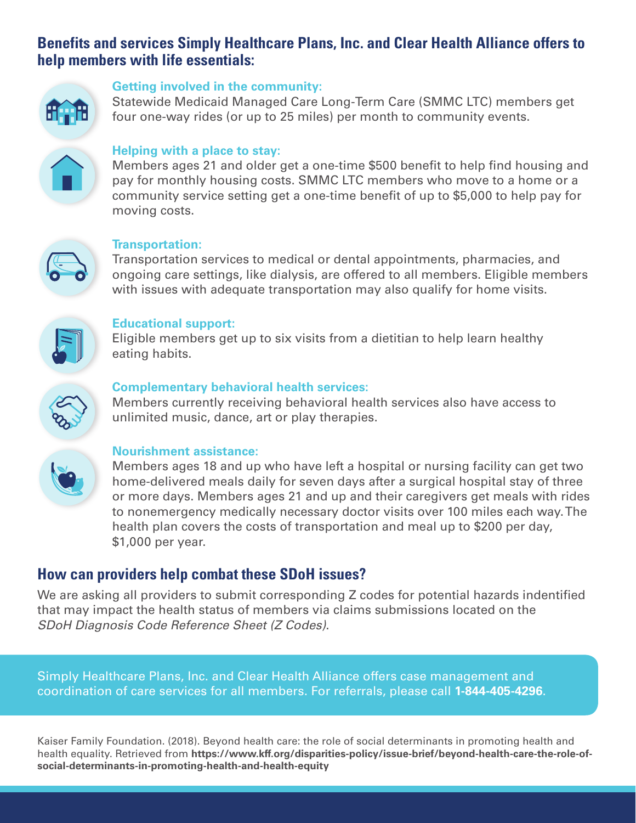# **Benefits and services Simply Healthcare Plans, Inc. and Clear Health Alliance offers to help members with life essentials:**



#### **Getting involved in the community:**

Statewide Medicaid Managed Care Long-Term Care (SMMC LTC) members get four one-way rides (or up to 25 miles) per month to community events.



#### **Helping with a place to stay:**

Members ages 21 and older get a one-time \$500 benefit to help find housing and pay for monthly housing costs. SMMC LTC members who move to a home or a community service setting get a one-time benefit of up to \$5,000 to help pay for moving costs.



#### **Transportation:**

Transportation services to medical or dental appointments, pharmacies, and ongoing care settings, like dialysis, are offered to all members. Eligible members with issues with adequate transportation may also qualify for home visits.



#### **Educational support:**

Eligible members get up to six visits from a dietitian to help learn healthy eating habits.



#### **Complementary behavioral health services:**

Members currently receiving behavioral health services also have access to unlimited music, dance, art or play therapies.



#### **Nourishment assistance:**

Members ages 18 and up who have left a hospital or nursing facility can get two home-delivered meals daily for seven days after a surgical hospital stay of three or more days. Members ages 21 and up and their caregivers get meals with rides to nonemergency medically necessary doctor visits over 100 miles each way. The health plan covers the costs of transportation and meal up to \$200 per day, \$1,000 per year.

# **How can providers help combat these SDoH issues?**

We are asking all providers to submit corresponding Z codes for potential hazards indentified that may impact the health status of members via claims submissions located on the *SDoH Diagnosis Code Reference Sheet (Z Codes)*.

Simply Healthcare Plans, Inc. and Clear Health Alliance offers case management and coordination of care services for all members. For referrals, please call **1-844-405-4296**.

Kaiser Family Foundation. (2018). Beyond health care: the role of social determinants in promoting health and health equality. Retrieved from **[https://www.kff.org/disparities-policy/issue-brief/beyond-health-care-the-role-of](https://www.kff.org/disparities-policy/issue-brief/beyond-health-care-the-role-of-social-determinant)[social-determinants-in-promoting-health-and-health-equity](https://www.kff.org/disparities-policy/issue-brief/beyond-health-care-the-role-of-social-determinant)**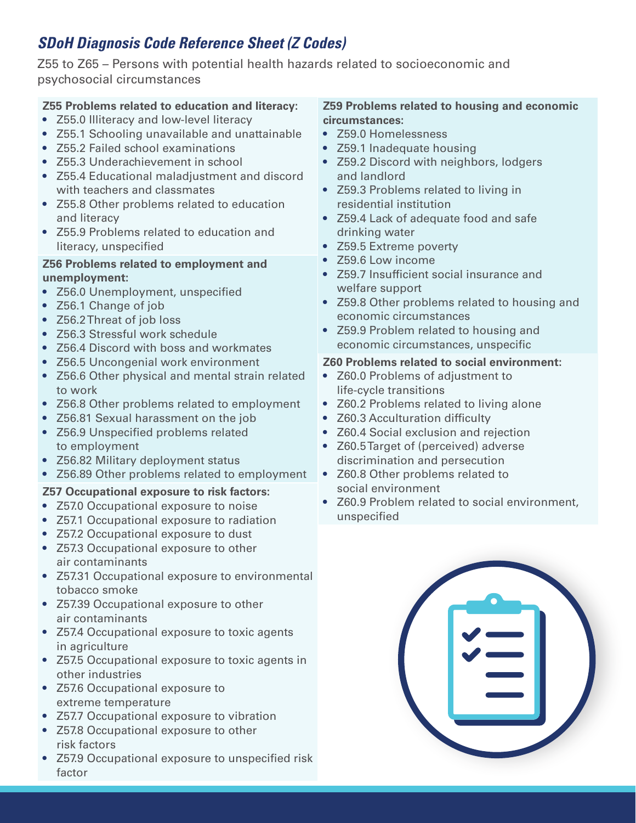# *SDoH Diagnosis Code Reference Sheet (Z Codes)*

Z55 to Z65 – Persons with potential health hazards related to socioeconomic and psychosocial circumstances

# **Z55 Problems related to education and literacy:**

- Z55.0 Illiteracy and low-level literacy
- Z55.1 Schooling unavailable and unattainable
- Z55.2 Failed school examinations
- Z55.3 Underachievement in school
- Z55.4 Educational maladjustment and discord with teachers and classmates
- Z55.8 Other problems related to education and literacy
- Z55.9 Problems related to education and literacy, unspecified

## **Z56 Problems related to employment and unemployment:**

- Z56.0 Unemployment, unspecified
- Z56.1 Change of job
- Z56.2 Threat of job loss
- Z56.3 Stressful work schedule
- Z56.4 Discord with boss and workmates
- Z56.5 Uncongenial work environment
- Z56.6 Other physical and mental strain related to work
- Z56.8 Other problems related to employment
- Z56.81 Sexual harassment on the job
- Z56.9 Unspecified problems related to employment
- Z56.82 Military deployment status
- Z56.89 Other problems related to employment

# **Z57 Occupational exposure to risk factors:**

- Z57.0 Occupational exposure to noise
- Z57.1 Occupational exposure to radiation
- Z57.2 Occupational exposure to dust
- Z57.3 Occupational exposure to other air contaminants
- Z57.31 Occupational exposure to environmental tobacco smoke
- Z57.39 Occupational exposure to other air contaminants
- Z57.4 Occupational exposure to toxic agents in agriculture
- Z57.5 Occupational exposure to toxic agents in other industries
- Z57.6 Occupational exposure to extreme temperature
- Z57.7 Occupational exposure to vibration
- Z57.8 Occupational exposure to other risk factors
- Z57.9 Occupational exposure to unspecified risk factor

#### **Z59 Problems related to housing and economic circumstances:**

- Z59.0 Homelessness
- Z59.1 Inadequate housing
- Z59.2 Discord with neighbors, lodgers and landlord
- Z59.3 Problems related to living in residential institution
- Z59.4 Lack of adequate food and safe drinking water
- Z59.5 Extreme poverty
- Z59.6 Low income
- Z59.7 Insufficient social insurance and welfare support
- Z59.8 Other problems related to housing and economic circumstances
- Z59.9 Problem related to housing and economic circumstances, unspecific

## **Z60 Problems related to social environment:**

- Z60.0 Problems of adjustment to life-cycle transitions
- Z60.2 Problems related to living alone
- Z60.3 Acculturation difficulty
- Z60.4 Social exclusion and rejection
- Z60.5 Target of (perceived) adverse discrimination and persecution
- Z60.8 Other problems related to social environment
- Z60.9 Problem related to social environment, unspecified